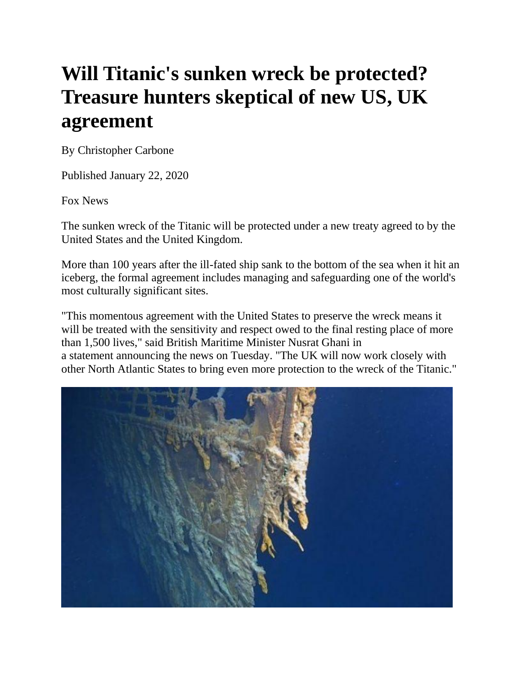## **Will Titanic's sunken wreck be protected? Treasure hunters skeptical of new US, UK agreement**

By Christopher Carbone

Published January 22, 2020

Fox News

The sunken wreck of the Titanic will be protected under a new treaty agreed to by the United States and the United Kingdom.

More than 100 years after the ill-fated ship sank to the bottom of the sea when it hit an iceberg, the formal agreement includes managing and safeguarding one of the world's most culturally significant sites.

"This momentous agreement with the United States to preserve the wreck means it will be treated with the sensitivity and respect owed to the final resting place of more than 1,500 lives," said British Maritime Minister Nusrat Ghani in a statement announcing the news on Tuesday. "The UK will now work closely with other North Atlantic States to bring even more protection to the wreck of the Titanic."

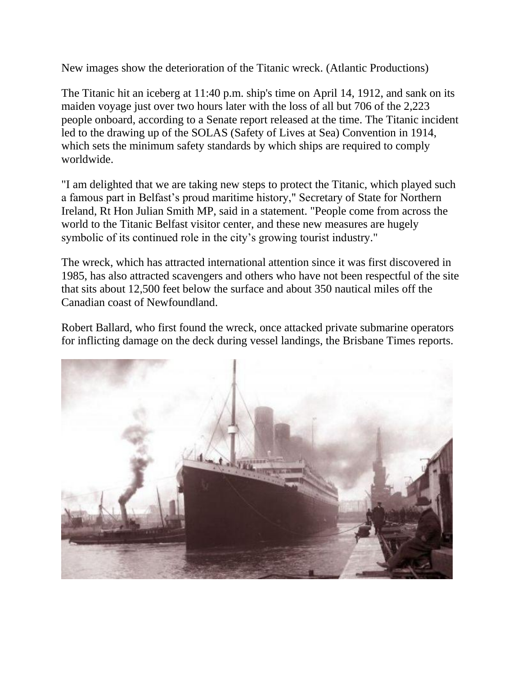New images show the deterioration of the Titanic wreck. (Atlantic Productions)

The Titanic hit an iceberg at 11:40 p.m. ship's time on April 14, 1912, and sank on its maiden voyage just over two hours later with the loss of all but 706 of the 2,223 people onboard, according to a Senate report released at the time. The Titanic incident led to the drawing up of the SOLAS (Safety of Lives at Sea) Convention in 1914, which sets the minimum safety standards by which ships are required to comply worldwide.

"I am delighted that we are taking new steps to protect the Titanic, which played such a famous part in Belfast's proud maritime history," Secretary of State for Northern Ireland, Rt Hon Julian Smith MP, said in a statement. "People come from across the world to the Titanic Belfast visitor center, and these new measures are hugely symbolic of its continued role in the city's growing tourist industry."

The wreck, which has attracted international attention since it was first discovered in 1985, has also attracted scavengers and others who have not been respectful of the site that sits about 12,500 feet below the surface and about 350 nautical miles off the Canadian coast of Newfoundland.

Robert Ballard, who first found the wreck, once attacked private submarine operators for inflicting damage on the deck during vessel landings, the Brisbane Times reports.

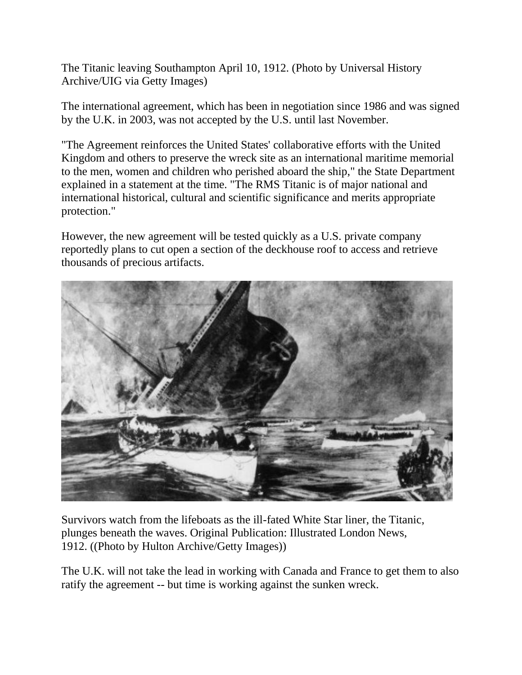The Titanic leaving Southampton April 10, 1912. (Photo by Universal History Archive/UIG via Getty Images)

The international agreement, which has been in negotiation since 1986 and was signed by the U.K. in 2003, was not accepted by the U.S. until last November.

"The Agreement reinforces the United States' collaborative efforts with the United Kingdom and others to preserve the wreck site as an international maritime memorial to the men, women and children who perished aboard the ship," the State Department explained in a statement at the time. "The RMS Titanic is of major national and international historical, cultural and scientific significance and merits appropriate protection."

However, the new agreement will be tested quickly as a U.S. private company reportedly plans to cut open a section of the deckhouse roof to access and retrieve thousands of precious artifacts.



Survivors watch from the lifeboats as the ill-fated White Star liner, the Titanic, plunges beneath the waves. Original Publication: Illustrated London News, 1912. ((Photo by Hulton Archive/Getty Images))

The U.K. will not take the lead in working with Canada and France to get them to also ratify the agreement -- but time is working against the sunken wreck.